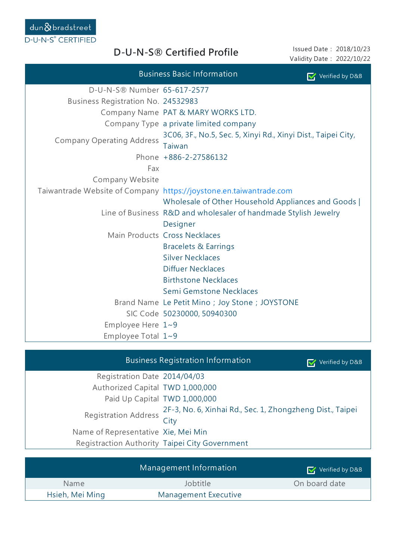| Issued Date: 2018/10/23   |  |
|---------------------------|--|
| Validity Date: 2022/10/22 |  |

|                                    | <b>Business Basic Information</b><br>Verified by D&B                    |
|------------------------------------|-------------------------------------------------------------------------|
| D-U-N-S® Number 65-617-2577        |                                                                         |
| Business Registration No. 24532983 |                                                                         |
|                                    | Company Name PAT & MARY WORKS LTD.                                      |
|                                    | Company Type a private limited company                                  |
| <b>Company Operating Address</b>   | 3C06, 3F., No.5, Sec. 5, Xinyi Rd., Xinyi Dist., Taipei City,<br>Taiwan |
|                                    | Phone +886-2-27586132                                                   |
| Fax                                |                                                                         |
| Company Website                    |                                                                         |
|                                    | Taiwantrade Website of Company https://joystone.en.taiwantrade.com      |
|                                    | Wholesale of Other Household Appliances and Goods                       |
|                                    | Line of Business R&D and wholesaler of handmade Stylish Jewelry         |
|                                    | Designer                                                                |
|                                    | Main Products Cross Necklaces                                           |
|                                    | <b>Bracelets &amp; Earrings</b>                                         |
|                                    | <b>Silver Necklaces</b>                                                 |
|                                    | <b>Diffuer Necklaces</b>                                                |
|                                    | <b>Birthstone Necklaces</b>                                             |
|                                    | Semi Gemstone Necklaces                                                 |
|                                    | Brand Name Le Petit Mino; Joy Stone; JOYSTONE                           |
|                                    | SIC Code 50230000, 50940300                                             |
| Employee Here $1~9$                |                                                                         |
| Employee Total $1~9$               |                                                                         |

D-U-N-S® Certified Profile

|                                     | <b>Business Registration Information</b>                                                                     | Verified by D&B |
|-------------------------------------|--------------------------------------------------------------------------------------------------------------|-----------------|
| Registration Date 2014/04/03        |                                                                                                              |                 |
| Authorized Capital TWD 1,000,000    |                                                                                                              |                 |
| Paid Up Capital TWD 1,000,000       |                                                                                                              |                 |
|                                     | Registration Address $\frac{2F-3}{\sqrt{F+1}}$ , No. 6, Xinhai Rd., Sec. 1, Zhongzheng Dist., Taipei<br>City |                 |
| Name of Representative Xie, Mei Min |                                                                                                              |                 |
|                                     | Registraction Authority Taipei City Government                                                               |                 |
|                                     |                                                                                                              |                 |

|                 | Management Information | $\triangledown$ Verified by D&B |
|-----------------|------------------------|---------------------------------|
| <b>Name</b>     | Jobtitle               | On board date                   |
| Hsieh, Mei Ming | Management Executive   |                                 |